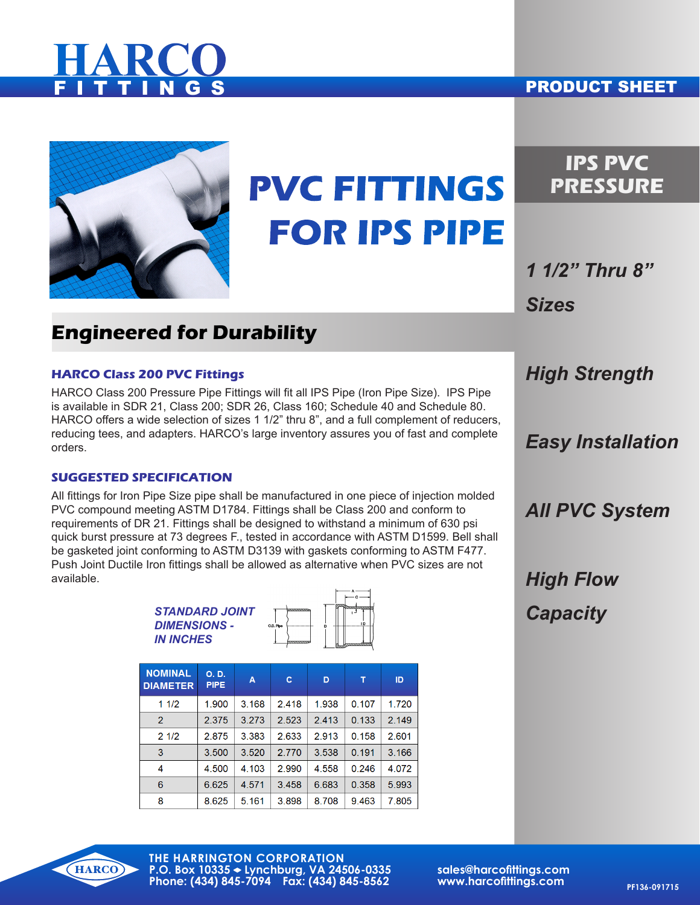# **HARCO**

#### **PRODUCT SHEET**



## **PVC FITTINGS FOR IPS PIPE**

## **IPS PVC PRESSURE**

*1 1/2" Thru 8" Sizes*

## **Engineered for Durability**

#### **HARCO Class 200 PVC Fittings**

HARCO Class 200 Pressure Pipe Fittings will fit all IPS Pipe (Iron Pipe Size). IPS Pipe is available in SDR 21, Class 200; SDR 26, Class 160; Schedule 40 and Schedule 80. HARCO offers a wide selection of sizes 1 1/2" thru 8", and a full complement of reducers, reducing tees, and adapters. HARCO's large inventory assures you of fast and complete orders.

#### **SUGGESTED SPECIFICATION**

All fittings for Iron Pipe Size pipe shall be manufactured in one piece of injection molded PVC compound meeting ASTM D1784. Fittings shall be Class 200 and conform to requirements of DR 21. Fittings shall be designed to withstand a minimum of 630 psi quick burst pressure at 73 degrees F., tested in accordance with ASTM D1599. Bell shall be gasketed joint conforming to ASTM D3139 with gaskets conforming to ASTM F477. Push Joint Ductile Iron fittings shall be allowed as alternative when PVC sizes are not available.

| <i><b>STANDARD JOINT</b></i> |           |  |
|------------------------------|-----------|--|
| <b>DIMENSIONS -</b>          | O.D. Plos |  |
| <i>IN INCHES</i>             |           |  |

| <b>NOMINAL</b><br><b>DIAMETER</b> | O.D.<br><b>PIPE</b> | A     | с     | D     | т     | ID    |
|-----------------------------------|---------------------|-------|-------|-------|-------|-------|
| 11/2                              | 1.900               | 3.168 | 2.418 | 1.938 | 0.107 | 1.720 |
| $\overline{2}$                    | 2.375               | 3.273 | 2.523 | 2.413 | 0.133 | 2.149 |
| 21/2                              | 2.875               | 3.383 | 2.633 | 2.913 | 0.158 | 2.601 |
| 3                                 | 3.500               | 3.520 | 2.770 | 3.538 | 0.191 | 3.166 |
| 4                                 | 4.500               | 4.103 | 2.990 | 4.558 | 0.246 | 4.072 |
| 6                                 | 6.625               | 4.571 | 3.458 | 6.683 | 0.358 | 5.993 |
| 8                                 | 8.625               | 5.161 | 3.898 | 8.708 | 9.463 | 7.805 |

*High Strength*

*Easy Installation*

*All PVC System*

*High Flow Capacity*

**HARCO** 

**THE HARRINGTON CORPORATION P.O. Box 10335 Lynchburg, VA 24506-0335 Phone: (434) 845-7094 Fax: (434) 845-8562**

**sales@harcofittings.com www.harcofittings.com** PF136-091715